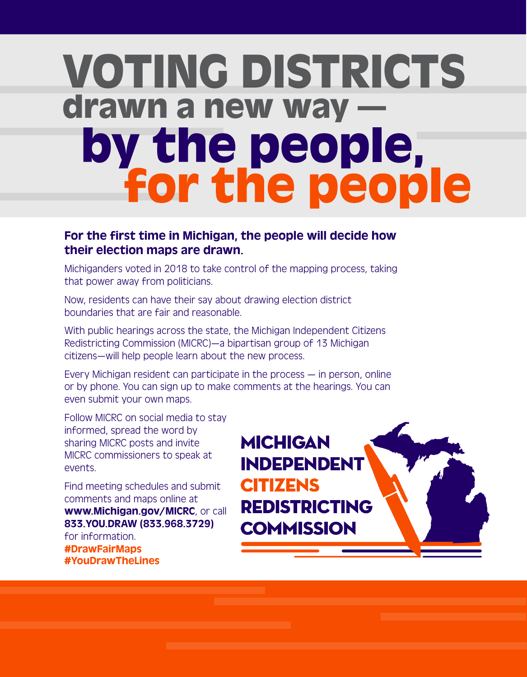# VOTING DISTRICTS drawn a new way —<br>by the people,<br>for the people

# For the first time in Michigan, the people will decide how their election maps are drawn.

Michiganders voted in 2018 to take control of the mapping process, taking that power away from politicians.

Now, residents can have their say about drawing election district boundaries that are fair and reasonable.

With public hearings across the state, the Michigan Independent Citizens Redistricting Commission (MICRC)—a bipartisan group of 13 Michigan citizens—will help people learn about the new process.

Every Michigan resident can participate in the process — in person, online or by phone. You can sign up to make comments at the hearings. You can even submit your own maps.

Follow MICRC on social media to stay informed, spread the word by sharing MICRC posts and invite MICRC commissioners to speak at events.

Find meeting schedules and submit comments and maps online at www.Michigan.gov/MICRC, or call 833.YOU.DRAW (833.968.3729) for information. #DrawFairMaps #YouDrawTheLines